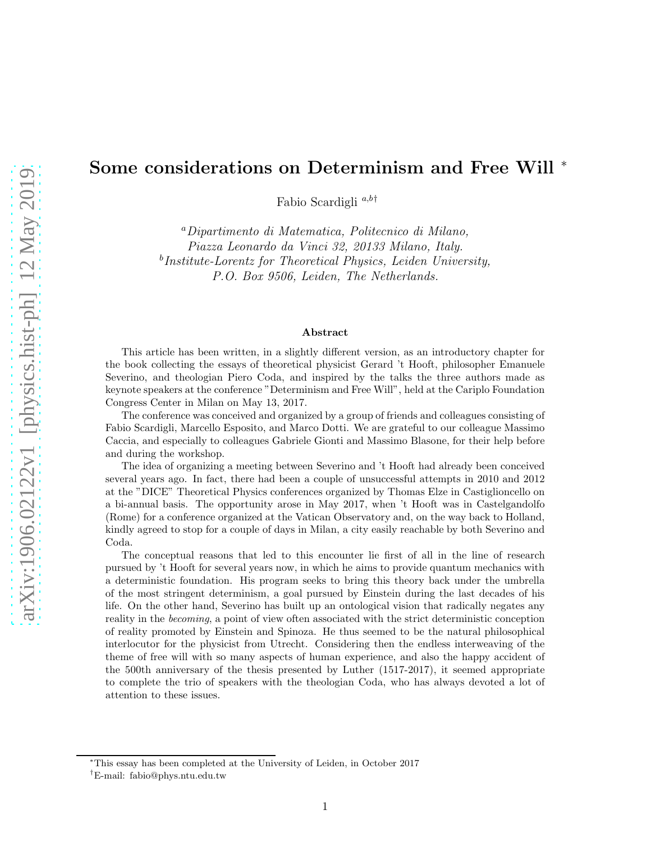# Some considerations on Determinism and Free Will <sup>∗</sup>

Fabio Scardigli <sup>a,b†</sup>

<sup>a</sup>Dipartimento di Matematica, Politecnico di Milano, Piazza Leonardo da Vinci 32, 20133 Milano, Italy. <sup>b</sup>Institute-Lorentz for Theoretical Physics, Leiden University, P.O. Box 9506, Leiden, The Netherlands.

#### Abstract

This article has been written, in a slightly different version, as an introductory chapter for the book collecting the essays of theoretical physicist Gerard 't Hooft, philosopher Emanuele Severino, and theologian Piero Coda, and inspired by the talks the three authors made as keynote speakers at the conference "Determinism and Free Will", held at the Cariplo Foundation Congress Center in Milan on May 13, 2017.

The conference was conceived and organized by a group of friends and colleagues consisting of Fabio Scardigli, Marcello Esposito, and Marco Dotti. We are grateful to our colleague Massimo Caccia, and especially to colleagues Gabriele Gionti and Massimo Blasone, for their help before and during the workshop.

The idea of organizing a meeting between Severino and 't Hooft had already been conceived several years ago. In fact, there had been a couple of unsuccessful attempts in 2010 and 2012 at the "DICE" Theoretical Physics conferences organized by Thomas Elze in Castiglioncello on a bi-annual basis. The opportunity arose in May 2017, when 't Hooft was in Castelgandolfo (Rome) for a conference organized at the Vatican Observatory and, on the way back to Holland, kindly agreed to stop for a couple of days in Milan, a city easily reachable by both Severino and Coda.

The conceptual reasons that led to this encounter lie first of all in the line of research pursued by 't Hooft for several years now, in which he aims to provide quantum mechanics with a deterministic foundation. His program seeks to bring this theory back under the umbrella of the most stringent determinism, a goal pursued by Einstein during the last decades of his life. On the other hand, Severino has built up an ontological vision that radically negates any reality in the becoming, a point of view often associated with the strict deterministic conception of reality promoted by Einstein and Spinoza. He thus seemed to be the natural philosophical interlocutor for the physicist from Utrecht. Considering then the endless interweaving of the theme of free will with so many aspects of human experience, and also the happy accident of the 500th anniversary of the thesis presented by Luther (1517-2017), it seemed appropriate to complete the trio of speakers with the theologian Coda, who has always devoted a lot of attention to these issues.

<sup>∗</sup>This essay has been completed at the University of Leiden, in October 2017

<sup>†</sup>E-mail: fabio@phys.ntu.edu.tw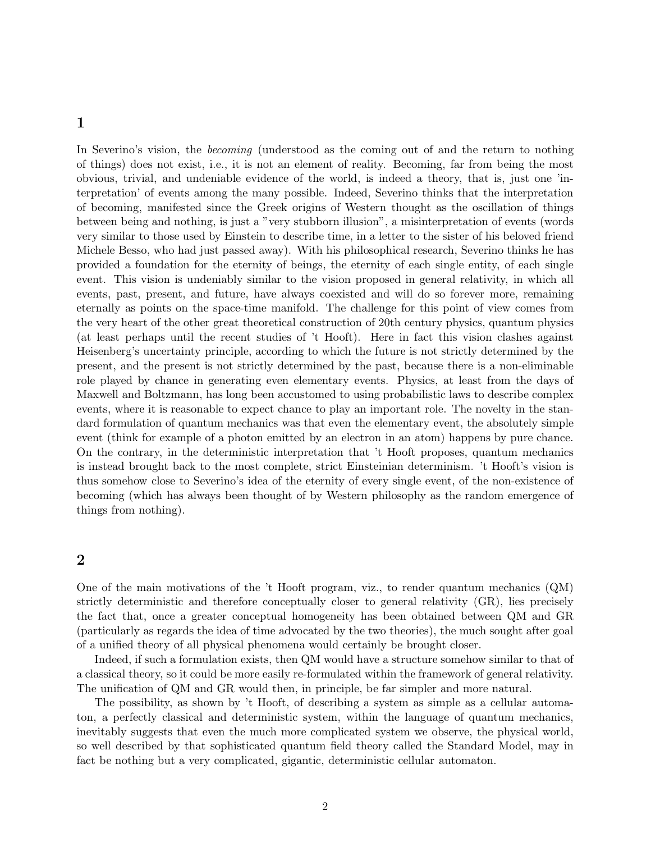In Severino's vision, the becoming (understood as the coming out of and the return to nothing of things) does not exist, i.e., it is not an element of reality. Becoming, far from being the most obvious, trivial, and undeniable evidence of the world, is indeed a theory, that is, just one 'interpretation' of events among the many possible. Indeed, Severino thinks that the interpretation of becoming, manifested since the Greek origins of Western thought as the oscillation of things between being and nothing, is just a "very stubborn illusion", a misinterpretation of events (words very similar to those used by Einstein to describe time, in a letter to the sister of his beloved friend Michele Besso, who had just passed away). With his philosophical research, Severino thinks he has provided a foundation for the eternity of beings, the eternity of each single entity, of each single event. This vision is undeniably similar to the vision proposed in general relativity, in which all events, past, present, and future, have always coexisted and will do so forever more, remaining eternally as points on the space-time manifold. The challenge for this point of view comes from the very heart of the other great theoretical construction of 20th century physics, quantum physics (at least perhaps until the recent studies of 't Hooft). Here in fact this vision clashes against Heisenberg's uncertainty principle, according to which the future is not strictly determined by the present, and the present is not strictly determined by the past, because there is a non-eliminable role played by chance in generating even elementary events. Physics, at least from the days of Maxwell and Boltzmann, has long been accustomed to using probabilistic laws to describe complex events, where it is reasonable to expect chance to play an important role. The novelty in the standard formulation of quantum mechanics was that even the elementary event, the absolutely simple event (think for example of a photon emitted by an electron in an atom) happens by pure chance. On the contrary, in the deterministic interpretation that 't Hooft proposes, quantum mechanics is instead brought back to the most complete, strict Einsteinian determinism. 't Hooft's vision is thus somehow close to Severino's idea of the eternity of every single event, of the non-existence of becoming (which has always been thought of by Western philosophy as the random emergence of things from nothing).

# 2

One of the main motivations of the 't Hooft program, viz., to render quantum mechanics (QM) strictly deterministic and therefore conceptually closer to general relativity (GR), lies precisely the fact that, once a greater conceptual homogeneity has been obtained between QM and GR (particularly as regards the idea of time advocated by the two theories), the much sought after goal of a unified theory of all physical phenomena would certainly be brought closer.

Indeed, if such a formulation exists, then QM would have a structure somehow similar to that of a classical theory, so it could be more easily re-formulated within the framework of general relativity. The unification of QM and GR would then, in principle, be far simpler and more natural.

The possibility, as shown by 't Hooft, of describing a system as simple as a cellular automaton, a perfectly classical and deterministic system, within the language of quantum mechanics, inevitably suggests that even the much more complicated system we observe, the physical world, so well described by that sophisticated quantum field theory called the Standard Model, may in fact be nothing but a very complicated, gigantic, deterministic cellular automaton.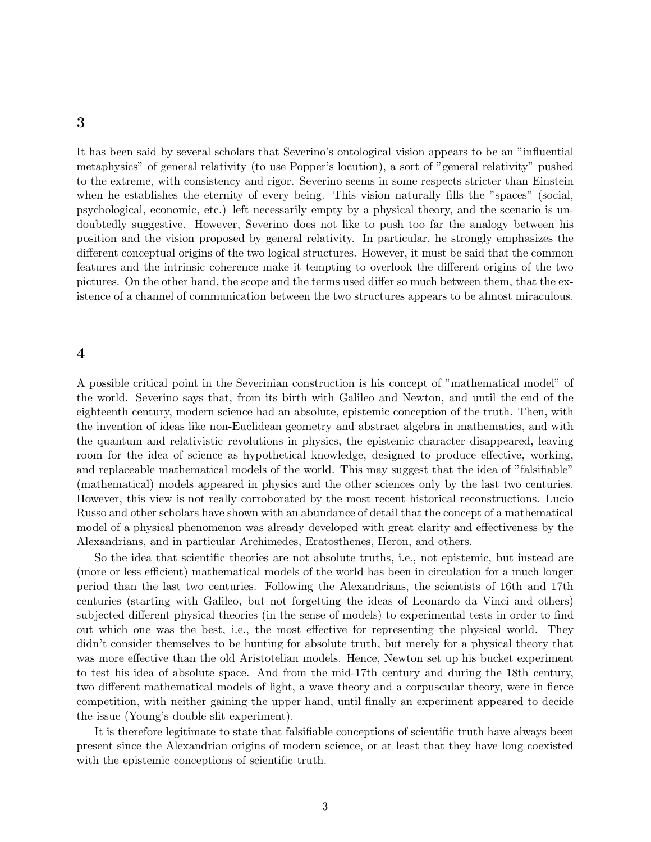It has been said by several scholars that Severino's ontological vision appears to be an "influential metaphysics" of general relativity (to use Popper's locution), a sort of "general relativity" pushed to the extreme, with consistency and rigor. Severino seems in some respects stricter than Einstein when he establishes the eternity of every being. This vision naturally fills the "spaces" (social, psychological, economic, etc.) left necessarily empty by a physical theory, and the scenario is undoubtedly suggestive. However, Severino does not like to push too far the analogy between his position and the vision proposed by general relativity. In particular, he strongly emphasizes the different conceptual origins of the two logical structures. However, it must be said that the common features and the intrinsic coherence make it tempting to overlook the different origins of the two pictures. On the other hand, the scope and the terms used differ so much between them, that the existence of a channel of communication between the two structures appears to be almost miraculous.

#### 4

A possible critical point in the Severinian construction is his concept of "mathematical model" of the world. Severino says that, from its birth with Galileo and Newton, and until the end of the eighteenth century, modern science had an absolute, epistemic conception of the truth. Then, with the invention of ideas like non-Euclidean geometry and abstract algebra in mathematics, and with the quantum and relativistic revolutions in physics, the epistemic character disappeared, leaving room for the idea of science as hypothetical knowledge, designed to produce effective, working, and replaceable mathematical models of the world. This may suggest that the idea of "falsifiable" (mathematical) models appeared in physics and the other sciences only by the last two centuries. However, this view is not really corroborated by the most recent historical reconstructions. Lucio Russo and other scholars have shown with an abundance of detail that the concept of a mathematical model of a physical phenomenon was already developed with great clarity and effectiveness by the Alexandrians, and in particular Archimedes, Eratosthenes, Heron, and others.

So the idea that scientific theories are not absolute truths, i.e., not epistemic, but instead are (more or less efficient) mathematical models of the world has been in circulation for a much longer period than the last two centuries. Following the Alexandrians, the scientists of 16th and 17th centuries (starting with Galileo, but not forgetting the ideas of Leonardo da Vinci and others) subjected different physical theories (in the sense of models) to experimental tests in order to find out which one was the best, i.e., the most effective for representing the physical world. They didn't consider themselves to be hunting for absolute truth, but merely for a physical theory that was more effective than the old Aristotelian models. Hence, Newton set up his bucket experiment to test his idea of absolute space. And from the mid-17th century and during the 18th century, two different mathematical models of light, a wave theory and a corpuscular theory, were in fierce competition, with neither gaining the upper hand, until finally an experiment appeared to decide the issue (Young's double slit experiment).

It is therefore legitimate to state that falsifiable conceptions of scientific truth have always been present since the Alexandrian origins of modern science, or at least that they have long coexisted with the epistemic conceptions of scientific truth.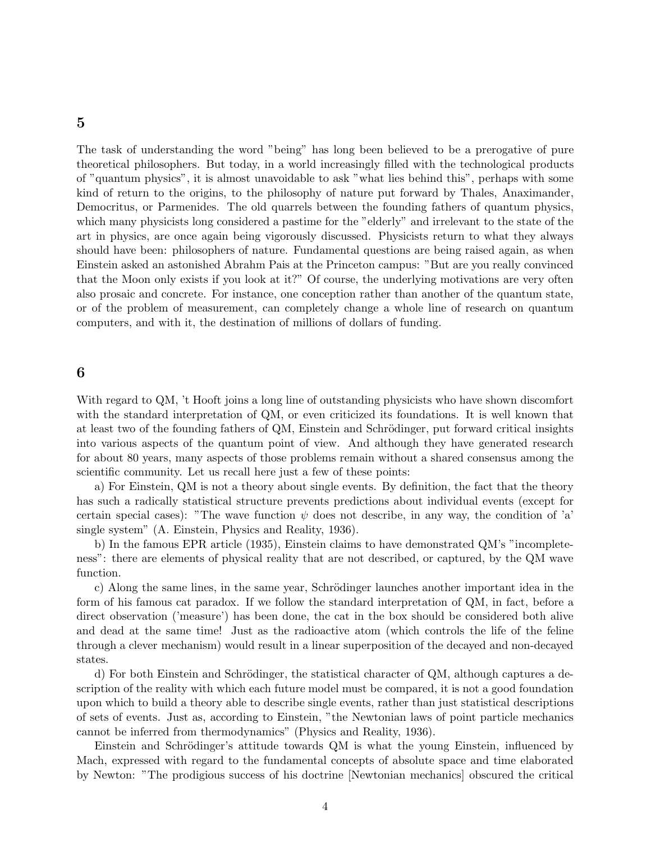The task of understanding the word "being" has long been believed to be a prerogative of pure theoretical philosophers. But today, in a world increasingly filled with the technological products of "quantum physics", it is almost unavoidable to ask "what lies behind this", perhaps with some kind of return to the origins, to the philosophy of nature put forward by Thales, Anaximander, Democritus, or Parmenides. The old quarrels between the founding fathers of quantum physics, which many physicists long considered a pastime for the "elderly" and irrelevant to the state of the art in physics, are once again being vigorously discussed. Physicists return to what they always should have been: philosophers of nature. Fundamental questions are being raised again, as when Einstein asked an astonished Abrahm Pais at the Princeton campus: "But are you really convinced that the Moon only exists if you look at it?" Of course, the underlying motivations are very often also prosaic and concrete. For instance, one conception rather than another of the quantum state, or of the problem of measurement, can completely change a whole line of research on quantum computers, and with it, the destination of millions of dollars of funding.

### 6

With regard to QM, 't Hooft joins a long line of outstanding physicists who have shown discomfort with the standard interpretation of QM, or even criticized its foundations. It is well known that at least two of the founding fathers of QM, Einstein and Schrödinger, put forward critical insights into various aspects of the quantum point of view. And although they have generated research for about 80 years, many aspects of those problems remain without a shared consensus among the scientific community. Let us recall here just a few of these points:

a) For Einstein, QM is not a theory about single events. By definition, the fact that the theory has such a radically statistical structure prevents predictions about individual events (except for certain special cases): "The wave function  $\psi$  does not describe, in any way, the condition of 'a' single system" (A. Einstein, Physics and Reality, 1936).

b) In the famous EPR article (1935), Einstein claims to have demonstrated QM's "incompleteness": there are elements of physical reality that are not described, or captured, by the QM wave function.

c) Along the same lines, in the same year, Schrödinger launches another important idea in the form of his famous cat paradox. If we follow the standard interpretation of QM, in fact, before a direct observation ('measure') has been done, the cat in the box should be considered both alive and dead at the same time! Just as the radioactive atom (which controls the life of the feline through a clever mechanism) would result in a linear superposition of the decayed and non-decayed states.

d) For both Einstein and Schrödinger, the statistical character of QM, although captures a description of the reality with which each future model must be compared, it is not a good foundation upon which to build a theory able to describe single events, rather than just statistical descriptions of sets of events. Just as, according to Einstein, "the Newtonian laws of point particle mechanics cannot be inferred from thermodynamics" (Physics and Reality, 1936).

Einstein and Schrödinger's attitude towards QM is what the young Einstein, influenced by Mach, expressed with regard to the fundamental concepts of absolute space and time elaborated by Newton: "The prodigious success of his doctrine [Newtonian mechanics] obscured the critical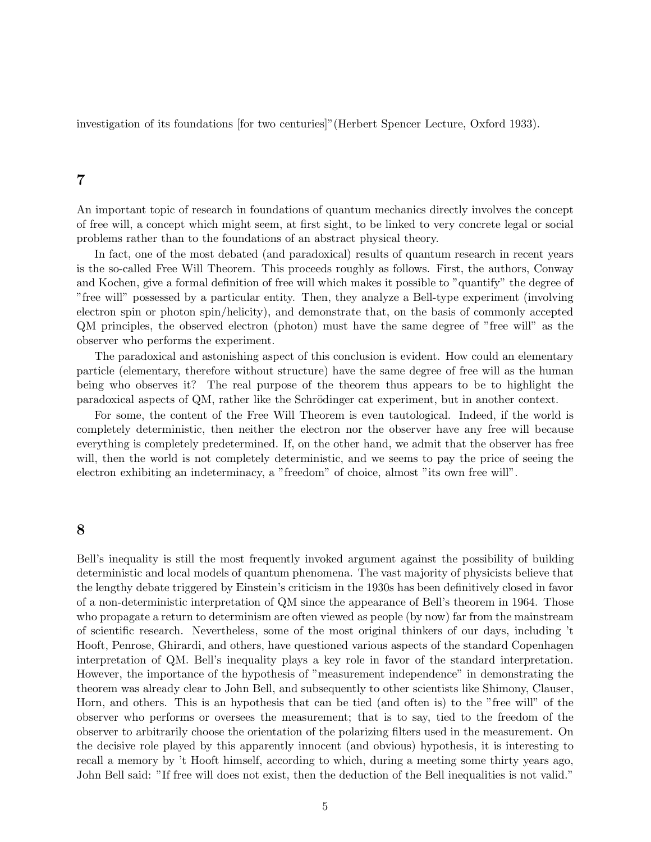investigation of its foundations [for two centuries]"(Herbert Spencer Lecture, Oxford 1933).

# 7

An important topic of research in foundations of quantum mechanics directly involves the concept of free will, a concept which might seem, at first sight, to be linked to very concrete legal or social problems rather than to the foundations of an abstract physical theory.

In fact, one of the most debated (and paradoxical) results of quantum research in recent years is the so-called Free Will Theorem. This proceeds roughly as follows. First, the authors, Conway and Kochen, give a formal definition of free will which makes it possible to "quantify" the degree of "free will" possessed by a particular entity. Then, they analyze a Bell-type experiment (involving electron spin or photon spin/helicity), and demonstrate that, on the basis of commonly accepted QM principles, the observed electron (photon) must have the same degree of "free will" as the observer who performs the experiment.

The paradoxical and astonishing aspect of this conclusion is evident. How could an elementary particle (elementary, therefore without structure) have the same degree of free will as the human being who observes it? The real purpose of the theorem thus appears to be to highlight the paradoxical aspects of QM, rather like the Schrödinger cat experiment, but in another context.

For some, the content of the Free Will Theorem is even tautological. Indeed, if the world is completely deterministic, then neither the electron nor the observer have any free will because everything is completely predetermined. If, on the other hand, we admit that the observer has free will, then the world is not completely deterministic, and we seems to pay the price of seeing the electron exhibiting an indeterminacy, a "freedom" of choice, almost "its own free will".

### 8

Bell's inequality is still the most frequently invoked argument against the possibility of building deterministic and local models of quantum phenomena. The vast majority of physicists believe that the lengthy debate triggered by Einstein's criticism in the 1930s has been definitively closed in favor of a non-deterministic interpretation of QM since the appearance of Bell's theorem in 1964. Those who propagate a return to determinism are often viewed as people (by now) far from the mainstream of scientific research. Nevertheless, some of the most original thinkers of our days, including 't Hooft, Penrose, Ghirardi, and others, have questioned various aspects of the standard Copenhagen interpretation of QM. Bell's inequality plays a key role in favor of the standard interpretation. However, the importance of the hypothesis of "measurement independence" in demonstrating the theorem was already clear to John Bell, and subsequently to other scientists like Shimony, Clauser, Horn, and others. This is an hypothesis that can be tied (and often is) to the "free will" of the observer who performs or oversees the measurement; that is to say, tied to the freedom of the observer to arbitrarily choose the orientation of the polarizing filters used in the measurement. On the decisive role played by this apparently innocent (and obvious) hypothesis, it is interesting to recall a memory by 't Hooft himself, according to which, during a meeting some thirty years ago, John Bell said: "If free will does not exist, then the deduction of the Bell inequalities is not valid."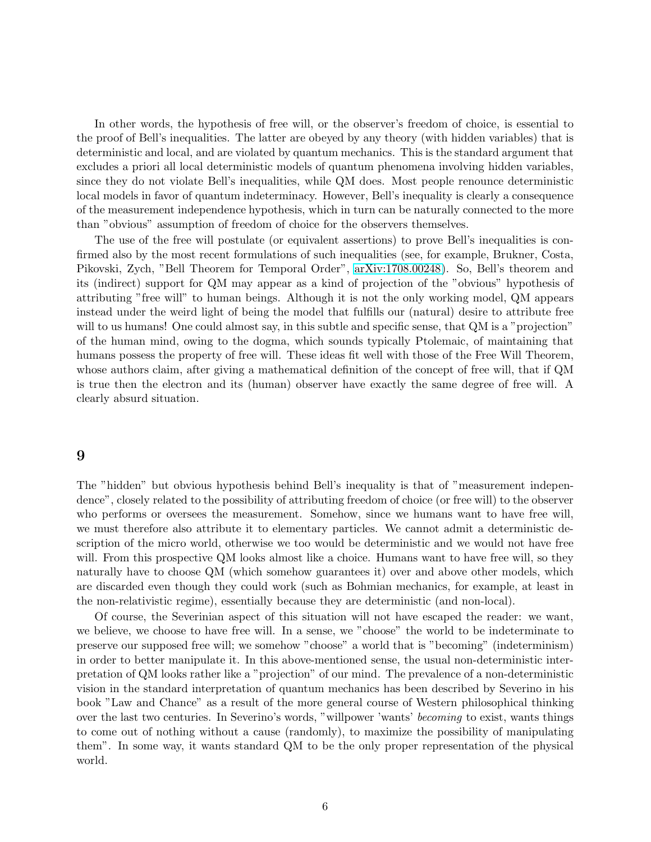In other words, the hypothesis of free will, or the observer's freedom of choice, is essential to the proof of Bell's inequalities. The latter are obeyed by any theory (with hidden variables) that is deterministic and local, and are violated by quantum mechanics. This is the standard argument that excludes a priori all local deterministic models of quantum phenomena involving hidden variables, since they do not violate Bell's inequalities, while QM does. Most people renounce deterministic local models in favor of quantum indeterminacy. However, Bell's inequality is clearly a consequence of the measurement independence hypothesis, which in turn can be naturally connected to the more than "obvious" assumption of freedom of choice for the observers themselves.

The use of the free will postulate (or equivalent assertions) to prove Bell's inequalities is confirmed also by the most recent formulations of such inequalities (see, for example, Brukner, Costa, Pikovski, Zych, "Bell Theorem for Temporal Order", [arXiv:1708.00248\)](http://arxiv.org/abs/1708.00248). So, Bell's theorem and its (indirect) support for QM may appear as a kind of projection of the "obvious" hypothesis of attributing "free will" to human beings. Although it is not the only working model, QM appears instead under the weird light of being the model that fulfills our (natural) desire to attribute free will to us humans! One could almost say, in this subtle and specific sense, that QM is a "projection" of the human mind, owing to the dogma, which sounds typically Ptolemaic, of maintaining that humans possess the property of free will. These ideas fit well with those of the Free Will Theorem, whose authors claim, after giving a mathematical definition of the concept of free will, that if QM is true then the electron and its (human) observer have exactly the same degree of free will. A clearly absurd situation.

#### 9

The "hidden" but obvious hypothesis behind Bell's inequality is that of "measurement independence", closely related to the possibility of attributing freedom of choice (or free will) to the observer who performs or oversees the measurement. Somehow, since we humans want to have free will, we must therefore also attribute it to elementary particles. We cannot admit a deterministic description of the micro world, otherwise we too would be deterministic and we would not have free will. From this prospective QM looks almost like a choice. Humans want to have free will, so they naturally have to choose QM (which somehow guarantees it) over and above other models, which are discarded even though they could work (such as Bohmian mechanics, for example, at least in the non-relativistic regime), essentially because they are deterministic (and non-local).

Of course, the Severinian aspect of this situation will not have escaped the reader: we want, we believe, we choose to have free will. In a sense, we "choose" the world to be indeterminate to preserve our supposed free will; we somehow "choose" a world that is "becoming" (indeterminism) in order to better manipulate it. In this above-mentioned sense, the usual non-deterministic interpretation of QM looks rather like a "projection" of our mind. The prevalence of a non-deterministic vision in the standard interpretation of quantum mechanics has been described by Severino in his book "Law and Chance" as a result of the more general course of Western philosophical thinking over the last two centuries. In Severino's words, "willpower 'wants' becoming to exist, wants things to come out of nothing without a cause (randomly), to maximize the possibility of manipulating them". In some way, it wants standard QM to be the only proper representation of the physical world.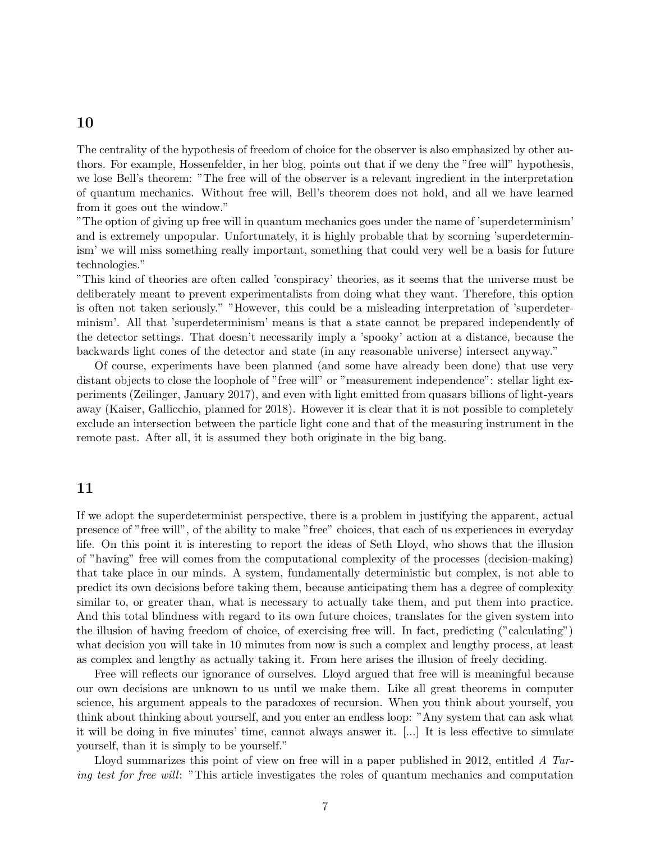The centrality of the hypothesis of freedom of choice for the observer is also emphasized by other authors. For example, Hossenfelder, in her blog, points out that if we deny the "free will" hypothesis, we lose Bell's theorem: "The free will of the observer is a relevant ingredient in the interpretation of quantum mechanics. Without free will, Bell's theorem does not hold, and all we have learned from it goes out the window."

"The option of giving up free will in quantum mechanics goes under the name of 'superdeterminism' and is extremely unpopular. Unfortunately, it is highly probable that by scorning 'superdeterminism' we will miss something really important, something that could very well be a basis for future technologies."

"This kind of theories are often called 'conspiracy' theories, as it seems that the universe must be deliberately meant to prevent experimentalists from doing what they want. Therefore, this option is often not taken seriously." "However, this could be a misleading interpretation of 'superdeterminism'. All that 'superdeterminism' means is that a state cannot be prepared independently of the detector settings. That doesn't necessarily imply a 'spooky' action at a distance, because the backwards light cones of the detector and state (in any reasonable universe) intersect anyway."

Of course, experiments have been planned (and some have already been done) that use very distant objects to close the loophole of "free will" or "measurement independence": stellar light experiments (Zeilinger, January 2017), and even with light emitted from quasars billions of light-years away (Kaiser, Gallicchio, planned for 2018). However it is clear that it is not possible to completely exclude an intersection between the particle light cone and that of the measuring instrument in the remote past. After all, it is assumed they both originate in the big bang.

#### 11

If we adopt the superdeterminist perspective, there is a problem in justifying the apparent, actual presence of "free will", of the ability to make "free" choices, that each of us experiences in everyday life. On this point it is interesting to report the ideas of Seth Lloyd, who shows that the illusion of "having" free will comes from the computational complexity of the processes (decision-making) that take place in our minds. A system, fundamentally deterministic but complex, is not able to predict its own decisions before taking them, because anticipating them has a degree of complexity similar to, or greater than, what is necessary to actually take them, and put them into practice. And this total blindness with regard to its own future choices, translates for the given system into the illusion of having freedom of choice, of exercising free will. In fact, predicting ("calculating") what decision you will take in 10 minutes from now is such a complex and lengthy process, at least as complex and lengthy as actually taking it. From here arises the illusion of freely deciding.

Free will reflects our ignorance of ourselves. Lloyd argued that free will is meaningful because our own decisions are unknown to us until we make them. Like all great theorems in computer science, his argument appeals to the paradoxes of recursion. When you think about yourself, you think about thinking about yourself, and you enter an endless loop: "Any system that can ask what it will be doing in five minutes' time, cannot always answer it. [...] It is less effective to simulate yourself, than it is simply to be yourself."

Lloyd summarizes this point of view on free will in a paper published in 2012, entitled A Turing test for free will: "This article investigates the roles of quantum mechanics and computation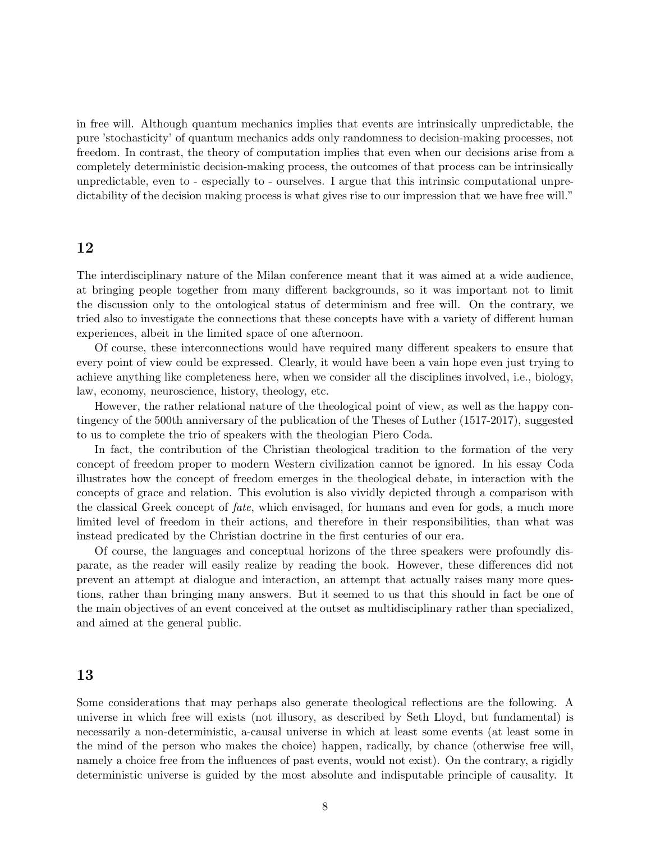in free will. Although quantum mechanics implies that events are intrinsically unpredictable, the pure 'stochasticity' of quantum mechanics adds only randomness to decision-making processes, not freedom. In contrast, the theory of computation implies that even when our decisions arise from a completely deterministic decision-making process, the outcomes of that process can be intrinsically unpredictable, even to - especially to - ourselves. I argue that this intrinsic computational unpredictability of the decision making process is what gives rise to our impression that we have free will."

# 12

The interdisciplinary nature of the Milan conference meant that it was aimed at a wide audience, at bringing people together from many different backgrounds, so it was important not to limit the discussion only to the ontological status of determinism and free will. On the contrary, we tried also to investigate the connections that these concepts have with a variety of different human experiences, albeit in the limited space of one afternoon.

Of course, these interconnections would have required many different speakers to ensure that every point of view could be expressed. Clearly, it would have been a vain hope even just trying to achieve anything like completeness here, when we consider all the disciplines involved, i.e., biology, law, economy, neuroscience, history, theology, etc.

However, the rather relational nature of the theological point of view, as well as the happy contingency of the 500th anniversary of the publication of the Theses of Luther (1517-2017), suggested to us to complete the trio of speakers with the theologian Piero Coda.

In fact, the contribution of the Christian theological tradition to the formation of the very concept of freedom proper to modern Western civilization cannot be ignored. In his essay Coda illustrates how the concept of freedom emerges in the theological debate, in interaction with the concepts of grace and relation. This evolution is also vividly depicted through a comparison with the classical Greek concept of fate, which envisaged, for humans and even for gods, a much more limited level of freedom in their actions, and therefore in their responsibilities, than what was instead predicated by the Christian doctrine in the first centuries of our era.

Of course, the languages and conceptual horizons of the three speakers were profoundly disparate, as the reader will easily realize by reading the book. However, these differences did not prevent an attempt at dialogue and interaction, an attempt that actually raises many more questions, rather than bringing many answers. But it seemed to us that this should in fact be one of the main objectives of an event conceived at the outset as multidisciplinary rather than specialized, and aimed at the general public.

# 13

Some considerations that may perhaps also generate theological reflections are the following. A universe in which free will exists (not illusory, as described by Seth Lloyd, but fundamental) is necessarily a non-deterministic, a-causal universe in which at least some events (at least some in the mind of the person who makes the choice) happen, radically, by chance (otherwise free will, namely a choice free from the influences of past events, would not exist). On the contrary, a rigidly deterministic universe is guided by the most absolute and indisputable principle of causality. It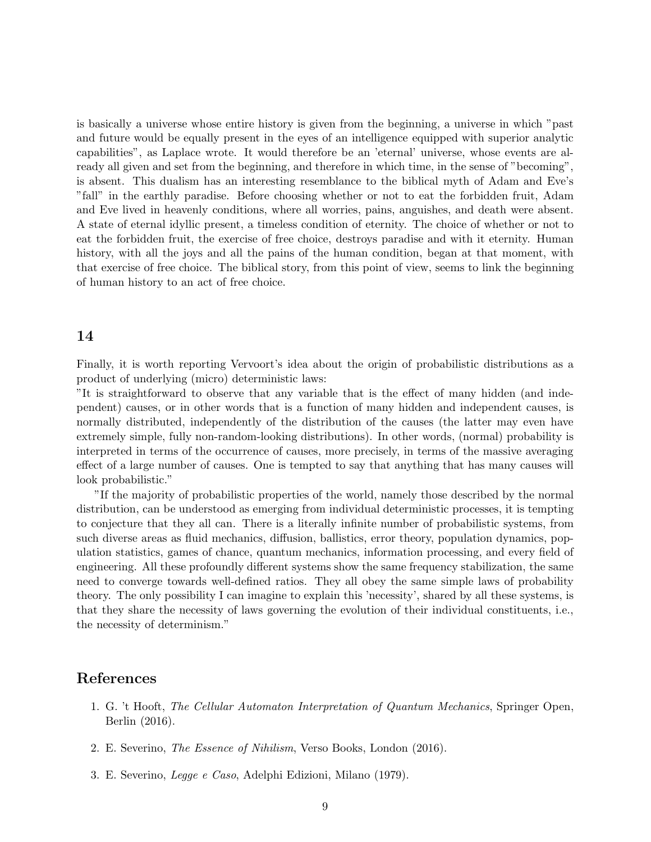is basically a universe whose entire history is given from the beginning, a universe in which "past and future would be equally present in the eyes of an intelligence equipped with superior analytic capabilities", as Laplace wrote. It would therefore be an 'eternal' universe, whose events are already all given and set from the beginning, and therefore in which time, in the sense of "becoming", is absent. This dualism has an interesting resemblance to the biblical myth of Adam and Eve's "fall" in the earthly paradise. Before choosing whether or not to eat the forbidden fruit, Adam and Eve lived in heavenly conditions, where all worries, pains, anguishes, and death were absent. A state of eternal idyllic present, a timeless condition of eternity. The choice of whether or not to eat the forbidden fruit, the exercise of free choice, destroys paradise and with it eternity. Human history, with all the joys and all the pains of the human condition, began at that moment, with that exercise of free choice. The biblical story, from this point of view, seems to link the beginning of human history to an act of free choice.

#### 14

Finally, it is worth reporting Vervoort's idea about the origin of probabilistic distributions as a product of underlying (micro) deterministic laws:

"It is straightforward to observe that any variable that is the effect of many hidden (and independent) causes, or in other words that is a function of many hidden and independent causes, is normally distributed, independently of the distribution of the causes (the latter may even have extremely simple, fully non-random-looking distributions). In other words, (normal) probability is interpreted in terms of the occurrence of causes, more precisely, in terms of the massive averaging effect of a large number of causes. One is tempted to say that anything that has many causes will look probabilistic."

"If the majority of probabilistic properties of the world, namely those described by the normal distribution, can be understood as emerging from individual deterministic processes, it is tempting to conjecture that they all can. There is a literally infinite number of probabilistic systems, from such diverse areas as fluid mechanics, diffusion, ballistics, error theory, population dynamics, population statistics, games of chance, quantum mechanics, information processing, and every field of engineering. All these profoundly different systems show the same frequency stabilization, the same need to converge towards well-defined ratios. They all obey the same simple laws of probability theory. The only possibility I can imagine to explain this 'necessity', shared by all these systems, is that they share the necessity of laws governing the evolution of their individual constituents, i.e., the necessity of determinism."

# References

- 1. G. 't Hooft, The Cellular Automaton Interpretation of Quantum Mechanics, Springer Open, Berlin (2016).
- 2. E. Severino, The Essence of Nihilism, Verso Books, London (2016).
- 3. E. Severino, Legge e Caso, Adelphi Edizioni, Milano (1979).